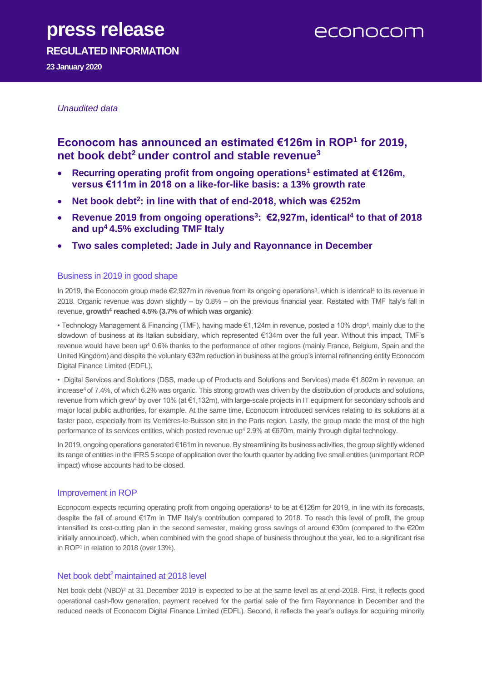# **press release**

econocom

**REGULATED INFORMATION**

**23 January 2020**

### *Unaudited data*

### **Econocom has announced an estimated €126m in ROP<sup>1</sup> for 2019, net book debt<sup>2</sup> under control and stable revenue<sup>3</sup>**

- **Recurring operating profit from ongoing operations<sup>1</sup> estimated at €126m, versus €111m in 2018 on a like-for-like basis: a 13% growth rate**
- **Net book debt<sup>2</sup> : in line with that of end-2018, which was €252m**
- **Revenue 2019 from ongoing operations<sup>3</sup> : €2,927m, identical<sup>4</sup> to that of 2018 and up<sup>4</sup>4.5% excluding TMF Italy**
- **Two sales completed: Jade in July and Rayonnance in December**

### Business in 2019 in good shape

In 2019, the Econocom group made €2,927m in revenue from its ongoing operations<sup>3</sup>, which is identical<sup>4</sup> to its revenue in 2018. Organic revenue was down slightly – by 0.8% – on the previous financial year. Restated with TMF Italy's fall in revenue, **growth<sup>4</sup> reached 4.5% (3.7% of which was organic)**:

• Technology Management & Financing (TMF), having made €1,124m in revenue, posted a 10% drop<sup>4</sup> , mainly due to the slowdown of business at its Italian subsidiary, which represented €134m over the full year. Without this impact, TMF's revenue would have been up<sup>4</sup> 0.6% thanks to the performance of other regions (mainly France, Belgium, Spain and the United Kingdom) and despite the voluntary €32m reduction in business at the group's internal refinancing entity Econocom Digital Finance Limited (EDFL).

• Digital Services and Solutions (DSS, made up of Products and Solutions and Services) made €1,802m in revenue, an increase<sup>4</sup> of 7.4%, of which 6.2% was organic. This strong growth was driven by the distribution of products and solutions, revenue from which grew<sup>4</sup> by over 10% (at €1,132m), with large-scale projects in IT equipment for secondary schools and major local public authorities, for example. At the same time, Econocom introduced services relating to its solutions at a faster pace, especially from its Verrières-le-Buisson site in the Paris region. Lastly, the group made the most of the high performance of its services entities, which posted revenue up<sup>4</sup> 2.9% at €670m, mainly through digital technology.

In 2019, ongoing operations generated €161m in revenue. By streamlining its business activities, the group slightly widened its range of entities in the IFRS 5 scope of application over the fourth quarter by adding five small entities (unimportant ROP impact) whose accounts had to be closed.

### Improvement in ROP

Econocom expects recurring operating profit from ongoing operations<sup>1</sup> to be at €126m for 2019, in line with its forecasts, despite the fall of around €17m in TMF Italy's contribution compared to 2018. To reach this level of profit, the group intensified its cost-cutting plan in the second semester, making gross savings of around €30m (compared to the €20m initially announced), which, when combined with the good shape of business throughout the year, led to a significant rise in ROP<sup>1</sup> in relation to 2018 (over 13%).

### Net book debt<sup>2</sup> maintained at 2018 level

Net book debt (NBD)<sup>2</sup> at 31 December 2019 is expected to be at the same level as at end-2018. First, it reflects good operational cash-flow generation, payment received for the partial sale of the firm Rayonnance in December and the reduced needs of Econocom Digital Finance Limited (EDFL). Second, it reflects the year's outlays for acquiring minority